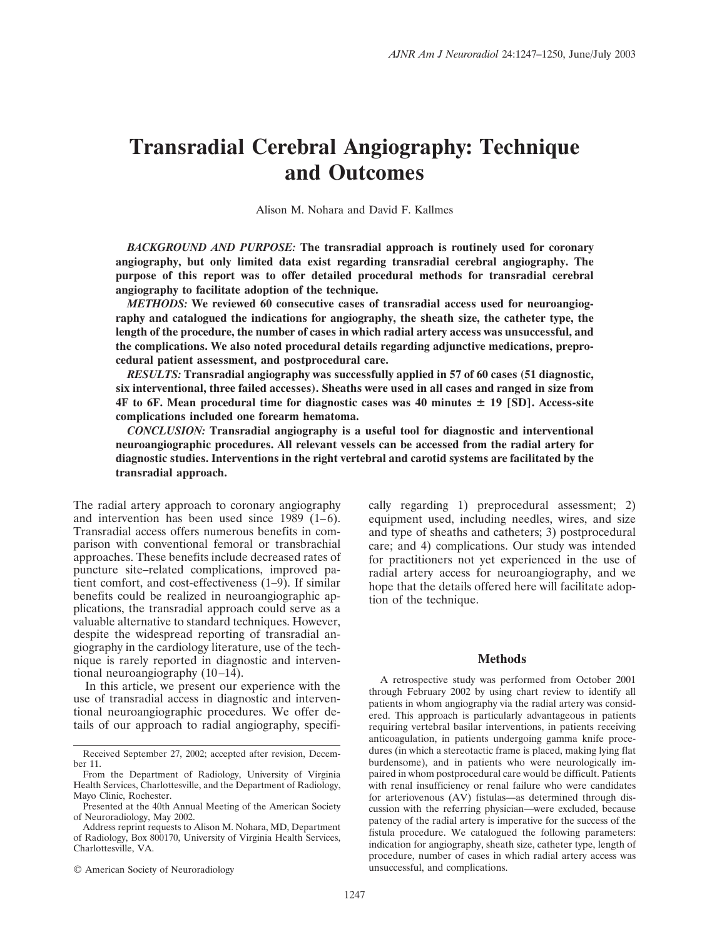# **Transradial Cerebral Angiography: Technique and Outcomes**

Alison M. Nohara and David F. Kallmes

*BACKGROUND AND PURPOSE:* **The transradial approach is routinely used for coronary angiography, but only limited data exist regarding transradial cerebral angiography. The purpose of this report was to offer detailed procedural methods for transradial cerebral angiography to facilitate adoption of the technique.**

*METHODS:* **We reviewed 60 consecutive cases of transradial access used for neuroangiography and catalogued the indications for angiography, the sheath size, the catheter type, the length of the procedure, the number of cases in which radial artery access was unsuccessful, and the complications. We also noted procedural details regarding adjunctive medications, preprocedural patient assessment, and postprocedural care.**

*RESULTS:* **Transradial angiography was successfully applied in 57 of 60 cases (51 diagnostic, six interventional, three failed accesses). Sheaths were used in all cases and ranged in size from 4F to 6F. Mean procedural time for diagnostic cases was 40 minutes 19 [SD]. Access-site complications included one forearm hematoma.**

*CONCLUSION:* **Transradial angiography is a useful tool for diagnostic and interventional neuroangiographic procedures. All relevant vessels can be accessed from the radial artery for diagnostic studies. Interventions in the right vertebral and carotid systems are facilitated by the transradial approach.**

The radial artery approach to coronary angiography and intervention has been used since 1989 (1–6). Transradial access offers numerous benefits in comparison with conventional femoral or transbrachial approaches. These benefits include decreased rates of puncture site–related complications, improved patient comfort, and cost-effectiveness (1–9). If similar benefits could be realized in neuroangiographic applications, the transradial approach could serve as a valuable alternative to standard techniques. However, despite the widespread reporting of transradial angiography in the cardiology literature, use of the technique is rarely reported in diagnostic and interventional neuroangiography (10–14).

In this article, we present our experience with the use of transradial access in diagnostic and interventional neuroangiographic procedures. We offer details of our approach to radial angiography, specifi-

© American Society of Neuroradiology

cally regarding 1) preprocedural assessment; 2) equipment used, including needles, wires, and size and type of sheaths and catheters; 3) postprocedural care; and 4) complications. Our study was intended for practitioners not yet experienced in the use of radial artery access for neuroangiography, and we hope that the details offered here will facilitate adoption of the technique.

# **Methods**

A retrospective study was performed from October 2001 through February 2002 by using chart review to identify all patients in whom angiography via the radial artery was considered. This approach is particularly advantageous in patients requiring vertebral basilar interventions, in patients receiving anticoagulation, in patients undergoing gamma knife procedures (in which a stereotactic frame is placed, making lying flat burdensome), and in patients who were neurologically impaired in whom postprocedural care would be difficult. Patients with renal insufficiency or renal failure who were candidates for arteriovenous (AV) fistulas—as determined through discussion with the referring physician—were excluded, because patency of the radial artery is imperative for the success of the fistula procedure. We catalogued the following parameters: indication for angiography, sheath size, catheter type, length of procedure, number of cases in which radial artery access was unsuccessful, and complications.

Received September 27, 2002; accepted after revision, December 11.

From the Department of Radiology, University of Virginia Health Services, Charlottesville, and the Department of Radiology, Mayo Clinic, Rochester.

Presented at the 40th Annual Meeting of the American Society of Neuroradiology, May 2002.

Address reprint requests to Alison M. Nohara, MD, Department of Radiology, Box 800170, University of Virginia Health Services, Charlottesville, VA.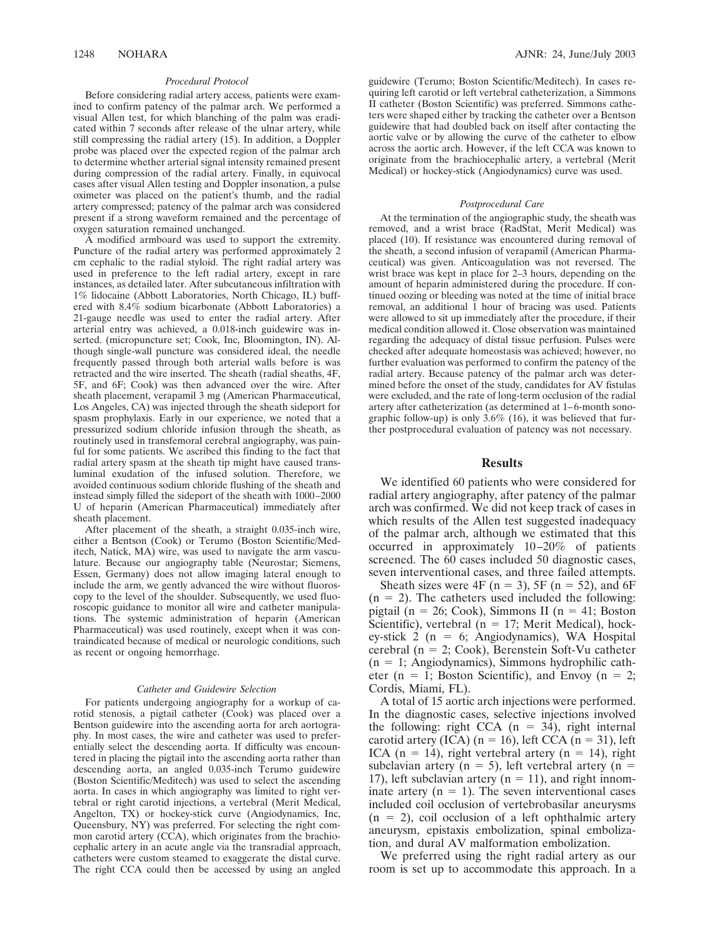#### *Procedural Protocol*

Before considering radial artery access, patients were examined to confirm patency of the palmar arch. We performed a visual Allen test, for which blanching of the palm was eradicated within 7 seconds after release of the ulnar artery, while still compressing the radial artery (15). In addition, a Doppler probe was placed over the expected region of the palmar arch to determine whether arterial signal intensity remained present during compression of the radial artery. Finally, in equivocal cases after visual Allen testing and Doppler insonation, a pulse oximeter was placed on the patient's thumb, and the radial artery compressed; patency of the palmar arch was considered present if a strong waveform remained and the percentage of oxygen saturation remained unchanged.

A modified armboard was used to support the extremity. Puncture of the radial artery was performed approximately 2 cm cephalic to the radial styloid. The right radial artery was used in preference to the left radial artery, except in rare instances, as detailed later. After subcutaneous infiltration with 1% lidocaine (Abbott Laboratories, North Chicago, IL) buffered with 8.4% sodium bicarbonate (Abbott Laboratories) a 21-gauge needle was used to enter the radial artery. After arterial entry was achieved, a 0.018-inch guidewire was inserted. (micropuncture set; Cook, Inc, Bloomington, IN). Although single-wall puncture was considered ideal, the needle frequently passed through both arterial walls before is was retracted and the wire inserted. The sheath (radial sheaths, 4F, 5F, and 6F; Cook) was then advanced over the wire. After sheath placement, verapamil 3 mg (American Pharmaceutical, Los Angeles, CA) was injected through the sheath sideport for spasm prophylaxis. Early in our experience, we noted that a pressurized sodium chloride infusion through the sheath, as routinely used in transfemoral cerebral angiography, was painful for some patients. We ascribed this finding to the fact that radial artery spasm at the sheath tip might have caused transluminal exudation of the infused solution. Therefore, we avoided continuous sodium chloride flushing of the sheath and instead simply filled the sideport of the sheath with 1000–2000 U of heparin (American Pharmaceutical) immediately after sheath placement.

After placement of the sheath, a straight 0.035-inch wire, either a Bentson (Cook) or Terumo (Boston Scientific/Meditech, Natick, MA) wire, was used to navigate the arm vasculature. Because our angiography table (Neurostar; Siemens, Essen, Germany) does not allow imaging lateral enough to include the arm, we gently advanced the wire without fluoroscopy to the level of the shoulder. Subsequently, we used fluoroscopic guidance to monitor all wire and catheter manipulations. The systemic administration of heparin (American Pharmaceutical) was used routinely, except when it was contraindicated because of medical or neurologic conditions, such as recent or ongoing hemorrhage.

#### *Catheter and Guidewire Selection*

For patients undergoing angiography for a workup of carotid stenosis, a pigtail catheter (Cook) was placed over a Bentson guidewire into the ascending aorta for arch aortography. In most cases, the wire and catheter was used to preferentially select the descending aorta. If difficulty was encountered in placing the pigtail into the ascending aorta rather than descending aorta, an angled 0.035-inch Terumo guidewire (Boston Scientific/Meditech) was used to select the ascending aorta. In cases in which angiography was limited to right vertebral or right carotid injections, a vertebral (Merit Medical, Angelton, TX) or hockey-stick curve (Angiodynamics, Inc, Queensbury, NY) was preferred. For selecting the right common carotid artery (CCA), which originates from the brachiocephalic artery in an acute angle via the transradial approach, catheters were custom steamed to exaggerate the distal curve. The right CCA could then be accessed by using an angled

guidewire (Terumo; Boston Scientific/Meditech). In cases requiring left carotid or left vertebral catheterization, a Simmons II catheter (Boston Scientific) was preferred. Simmons catheters were shaped either by tracking the catheter over a Bentson guidewire that had doubled back on itself after contacting the aortic valve or by allowing the curve of the catheter to elbow across the aortic arch. However, if the left CCA was known to originate from the brachiocephalic artery, a vertebral (Merit Medical) or hockey-stick (Angiodynamics) curve was used.

#### *Postprocedural Care*

At the termination of the angiographic study, the sheath was removed, and a wrist brace (RadStat, Merit Medical) was placed (10). If resistance was encountered during removal of the sheath, a second infusion of verapamil (American Pharmaceutical) was given. Anticoagulation was not reversed. The wrist brace was kept in place for 2–3 hours, depending on the amount of heparin administered during the procedure. If continued oozing or bleeding was noted at the time of initial brace removal, an additional 1 hour of bracing was used. Patients were allowed to sit up immediately after the procedure, if their medical condition allowed it. Close observation was maintained regarding the adequacy of distal tissue perfusion. Pulses were checked after adequate homeostasis was achieved; however, no further evaluation was performed to confirm the patency of the radial artery. Because patency of the palmar arch was determined before the onset of the study, candidates for AV fistulas were excluded, and the rate of long-term occlusion of the radial artery after catheterization (as determined at 1–6-month sonographic follow-up) is only  $3.6\%$  (16), it was believed that further postprocedural evaluation of patency was not necessary.

#### **Results**

We identified 60 patients who were considered for radial artery angiography, after patency of the palmar arch was confirmed. We did not keep track of cases in which results of the Allen test suggested inadequacy of the palmar arch, although we estimated that this occurred in approximately 10–20% of patients screened. The 60 cases included 50 diagnostic cases, seven interventional cases, and three failed attempts.

Sheath sizes were 4F ( $n = 3$ ), 5F ( $n = 52$ ), and 6F  $(n = 2)$ . The catheters used included the following: pigtail ( $n = 26$ ; Cook), Simmons II ( $n = 41$ ; Boston Scientific), vertebral ( $n = 17$ ; Merit Medical), hockey-stick 2 ( $n = 6$ ; Angiodynamics), WA Hospital cerebral ( $n = 2$ ; Cook), Berenstein Soft-Vu catheter  $(n = 1;$  Angiodynamics), Simmons hydrophilic catheter ( $n = 1$ ; Boston Scientific), and Envoy ( $n = 2$ ; Cordis, Miami, FL).

A total of 15 aortic arch injections were performed. In the diagnostic cases, selective injections involved the following: right CCA  $(n = 34)$ , right internal carotid artery (ICA) ( $n = 16$ ), left CCA ( $n = 31$ ), left ICA (n = 14), right vertebral artery (n = 14), right subclavian artery ( $n = 5$ ), left vertebral artery ( $n =$ 17), left subclavian artery ( $n = 11$ ), and right innominate artery  $(n = 1)$ . The seven interventional cases included coil occlusion of vertebrobasilar aneurysms  $(n = 2)$ , coil occlusion of a left ophthalmic artery aneurysm, epistaxis embolization, spinal embolization, and dural AV malformation embolization.

We preferred using the right radial artery as our room is set up to accommodate this approach. In a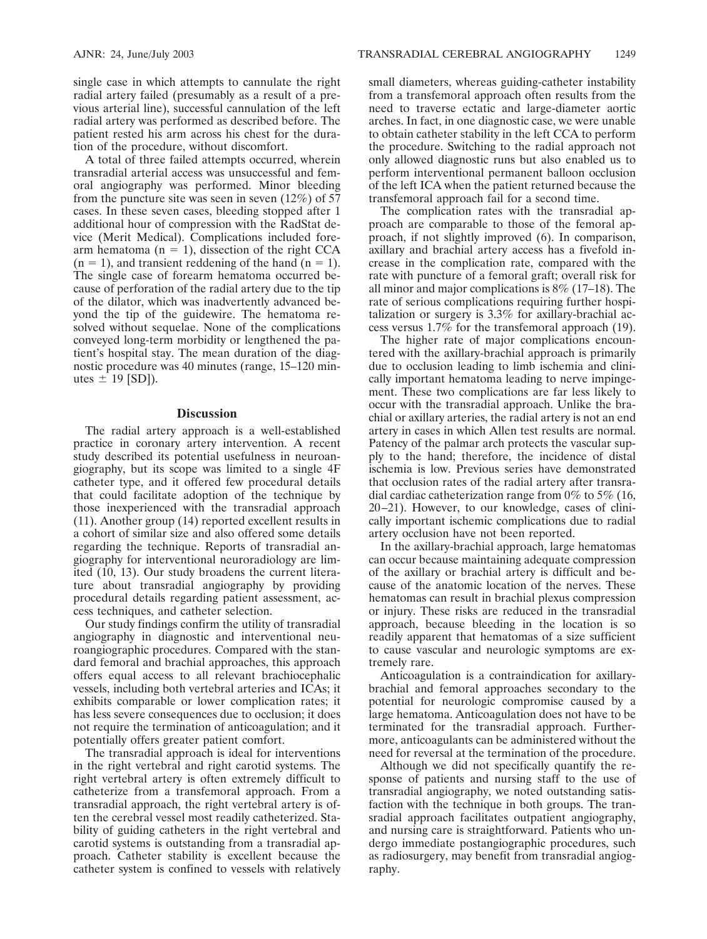single case in which attempts to cannulate the right radial artery failed (presumably as a result of a previous arterial line), successful cannulation of the left radial artery was performed as described before. The patient rested his arm across his chest for the duration of the procedure, without discomfort.

A total of three failed attempts occurred, wherein transradial arterial access was unsuccessful and femoral angiography was performed. Minor bleeding from the puncture site was seen in seven  $(12\%)$  of 57 cases. In these seven cases, bleeding stopped after 1 additional hour of compression with the RadStat device (Merit Medical). Complications included forearm hematoma ( $n = 1$ ), dissection of the right CCA  $(n = 1)$ , and transient reddening of the hand  $(n = 1)$ . The single case of forearm hematoma occurred because of perforation of the radial artery due to the tip of the dilator, which was inadvertently advanced beyond the tip of the guidewire. The hematoma resolved without sequelae. None of the complications conveyed long-term morbidity or lengthened the patient's hospital stay. The mean duration of the diagnostic procedure was 40 minutes (range, 15–120 minutes  $\pm$  19 [SD]).

# **Discussion**

The radial artery approach is a well-established practice in coronary artery intervention. A recent study described its potential usefulness in neuroangiography, but its scope was limited to a single 4F catheter type, and it offered few procedural details that could facilitate adoption of the technique by those inexperienced with the transradial approach (11). Another group (14) reported excellent results in a cohort of similar size and also offered some details regarding the technique. Reports of transradial angiography for interventional neuroradiology are limited (10, 13). Our study broadens the current literature about transradial angiography by providing procedural details regarding patient assessment, access techniques, and catheter selection.

Our study findings confirm the utility of transradial angiography in diagnostic and interventional neuroangiographic procedures. Compared with the standard femoral and brachial approaches, this approach offers equal access to all relevant brachiocephalic vessels, including both vertebral arteries and ICAs; it exhibits comparable or lower complication rates; it has less severe consequences due to occlusion; it does not require the termination of anticoagulation; and it potentially offers greater patient comfort.

The transradial approach is ideal for interventions in the right vertebral and right carotid systems. The right vertebral artery is often extremely difficult to catheterize from a transfemoral approach. From a transradial approach, the right vertebral artery is often the cerebral vessel most readily catheterized. Stability of guiding catheters in the right vertebral and carotid systems is outstanding from a transradial approach. Catheter stability is excellent because the catheter system is confined to vessels with relatively small diameters, whereas guiding-catheter instability from a transfemoral approach often results from the need to traverse ectatic and large-diameter aortic arches. In fact, in one diagnostic case, we were unable to obtain catheter stability in the left CCA to perform the procedure. Switching to the radial approach not only allowed diagnostic runs but also enabled us to perform interventional permanent balloon occlusion of the left ICA when the patient returned because the transfemoral approach fail for a second time.

The complication rates with the transradial approach are comparable to those of the femoral approach, if not slightly improved (6). In comparison, axillary and brachial artery access has a fivefold increase in the complication rate, compared with the rate with puncture of a femoral graft; overall risk for all minor and major complications is 8% (17–18). The rate of serious complications requiring further hospitalization or surgery is 3.3% for axillary-brachial access versus 1.7% for the transfemoral approach (19).

The higher rate of major complications encountered with the axillary-brachial approach is primarily due to occlusion leading to limb ischemia and clinically important hematoma leading to nerve impingement. These two complications are far less likely to occur with the transradial approach. Unlike the brachial or axillary arteries, the radial artery is not an end artery in cases in which Allen test results are normal. Patency of the palmar arch protects the vascular supply to the hand; therefore, the incidence of distal ischemia is low. Previous series have demonstrated that occlusion rates of the radial artery after transradial cardiac catheterization range from  $0\%$  to 5% (16, 20–21). However, to our knowledge, cases of clinically important ischemic complications due to radial artery occlusion have not been reported.

In the axillary-brachial approach, large hematomas can occur because maintaining adequate compression of the axillary or brachial artery is difficult and because of the anatomic location of the nerves. These hematomas can result in brachial plexus compression or injury. These risks are reduced in the transradial approach, because bleeding in the location is so readily apparent that hematomas of a size sufficient to cause vascular and neurologic symptoms are extremely rare.

Anticoagulation is a contraindication for axillarybrachial and femoral approaches secondary to the potential for neurologic compromise caused by a large hematoma. Anticoagulation does not have to be terminated for the transradial approach. Furthermore, anticoagulants can be administered without the need for reversal at the termination of the procedure.

Although we did not specifically quantify the response of patients and nursing staff to the use of transradial angiography, we noted outstanding satisfaction with the technique in both groups. The transradial approach facilitates outpatient angiography, and nursing care is straightforward. Patients who undergo immediate postangiographic procedures, such as radiosurgery, may benefit from transradial angiography.